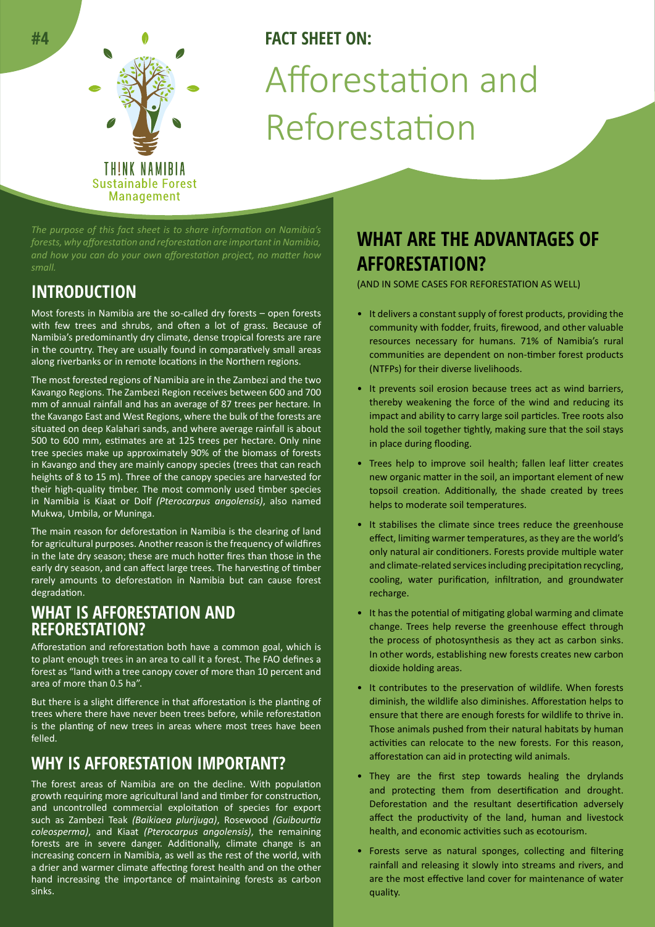

# **FACT SHEET ON:** Afforestation and Reforestation

*forests, why afforestation and reforestation are important in Namibia, and how you can do your own afforestation project, no matter how* 

# **INTRODUCTION**

Most forests in Namibia are the so-called dry forests – open forests with few trees and shrubs, and often a lot of grass. Because of Namibia's predominantly dry climate, dense tropical forests are rare in the country. They are usually found in comparatively small areas along riverbanks or in remote locations in the Northern regions.

The most forested regions of Namibia are in the Zambezi and the two Kavango Regions. The Zambezi Region receives between 600 and 700 mm of annual rainfall and has an average of 87 trees per hectare. In the Kavango East and West Regions, where the bulk of the forests are situated on deep Kalahari sands, and where average rainfall is about 500 to 600 mm, estimates are at 125 trees per hectare. Only nine tree species make up approximately 90% of the biomass of forests in Kavango and they are mainly canopy species (trees that can reach heights of 8 to 15 m). Three of the canopy species are harvested for their high-quality timber. The most commonly used timber species in Namibia is Kiaat or Dolf *(Pterocarpus angolensis)*, also named Mukwa, Umbila, or Muninga.

The main reason for deforestation in Namibia is the clearing of land for agricultural purposes. Another reason is the frequency of wildfires in the late dry season; these are much hotter fires than those in the early dry season, and can affect large trees. The harvesting of timber rarely amounts to deforestation in Namibia but can cause forest degradation.

### **WHAT IS AFFORESTATION AND REFORESTATION?**

Afforestation and reforestation both have a common goal, which is to plant enough trees in an area to call it a forest. The FAO defines a forest as "land with a tree canopy cover of more than 10 percent and area of more than 0.5 ha".

But there is a slight difference in that afforestation is the planting of trees where there have never been trees before, while reforestation is the planting of new trees in areas where most trees have been felled.

# **WHY IS AFFORESTATION IMPORTANT?**

The forest areas of Namibia are on the decline. With population growth requiring more agricultural land and timber for construction, and uncontrolled commercial exploitation of species for export such as Zambezi Teak *(Baikiaea plurijuga)*, Rosewood *(Guibourtia coleosperma)*, and Kiaat *(Pterocarpus angolensis)*, the remaining forests are in severe danger. Additionally, climate change is an increasing concern in Namibia, as well as the rest of the world, with a drier and warmer climate affecting forest health and on the other hand increasing the importance of maintaining forests as carbon sinks.

# **WHAT ARE THE ADVANTAGES OF AFFORESTATION?**

(AND IN SOME CASES FOR REFORESTATION AS WELL)

- It delivers a constant supply of forest products, providing the community with fodder, fruits, firewood, and other valuable resources necessary for humans. 71% of Namibia's rural communities are dependent on non-timber forest products (NTFPs) for their diverse livelihoods.
- It prevents soil erosion because trees act as wind barriers, thereby weakening the force of the wind and reducing its impact and ability to carry large soil particles. Tree roots also hold the soil together tightly, making sure that the soil stays in place during flooding.
- Trees help to improve soil health; fallen leaf litter creates new organic matter in the soil, an important element of new topsoil creation. Additionally, the shade created by trees helps to moderate soil temperatures.
- It stabilises the climate since trees reduce the greenhouse effect, limiting warmer temperatures, as they are the world's only natural air conditioners. Forests provide multiple water and climate-related services including precipitation recycling, cooling, water purification, infiltration, and groundwater recharge.
- It has the potential of mitigating global warming and climate change. Trees help reverse the greenhouse effect through the process of photosynthesis as they act as carbon sinks. In other words, establishing new forests creates new carbon dioxide holding areas.
- It contributes to the preservation of wildlife. When forests diminish, the wildlife also diminishes. Afforestation helps to ensure that there are enough forests for wildlife to thrive in. Those animals pushed from their natural habitats by human activities can relocate to the new forests. For this reason, afforestation can aid in protecting wild animals.
- They are the first step towards healing the drylands and protecting them from desertification and drought. Deforestation and the resultant desertification adversely affect the productivity of the land, human and livestock health, and economic activities such as ecotourism.
- Forests serve as natural sponges, collecting and filtering rainfall and releasing it slowly into streams and rivers, and are the most effective land cover for maintenance of water quality.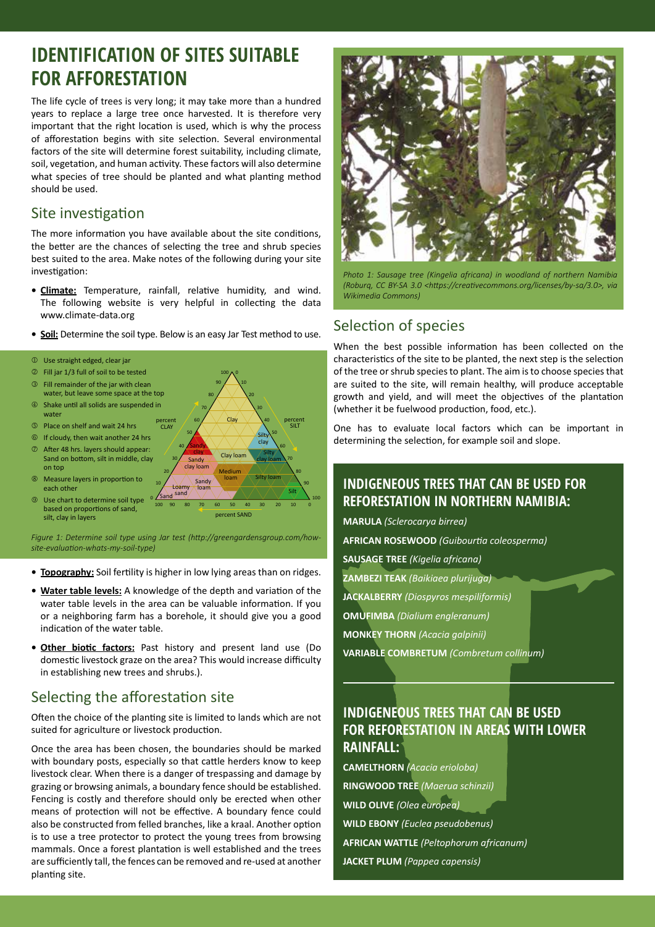# **IDENTIFICATION OF SITES SUITABLE FOR AFFORESTATION**

The life cycle of trees is very long; it may take more than a hundred years to replace a large tree once harvested. It is therefore very important that the right location is used, which is why the process of afforestation begins with site selection. Several environmental factors of the site will determine forest suitability, including climate, soil, vegetation, and human activity. These factors will also determine what species of tree should be planted and what planting method should be used.

### Site investigation

The more information you have available about the site conditions, the better are the chances of selecting the tree and shrub species best suited to the area. Make notes of the following during your site investigation:

- **• Climate:** Temperature, rainfall, relative humidity, and wind. The following website is very helpful in collecting the data www.climate-data.org
- **• Soil:** Determine the soil type. Below is an easy Jar Test method to use.



*Figure 1: Determine soil type using Jar test (http://greengardensgroup.com/howsite-evaluation-whats-my-soil-type)*

- **• Topography:** Soil fertility is higher in low lying areas than on ridges.
- **• Water table levels:** A knowledge of the depth and variation of the water table levels in the area can be valuable information. If you or a neighboring farm has a borehole, it should give you a good indication of the water table.
- **• Other biotic factors:** Past history and present land use (Do domestic livestock graze on the area? This would increase difficulty in establishing new trees and shrubs.).

### Selecting the afforestation site

Often the choice of the planting site is limited to lands which are not suited for agriculture or livestock production.

Once the area has been chosen, the boundaries should be marked with boundary posts, especially so that cattle herders know to keep livestock clear. When there is a danger of trespassing and damage by grazing or browsing animals, a boundary fence should be established. Fencing is costly and therefore should only be erected when other means of protection will not be effective. A boundary fence could also be constructed from felled branches, like a kraal. Another option is to use a tree protector to protect the young trees from browsing mammals. Once a forest plantation is well established and the trees are sufficiently tall, the fences can be removed and re-used at another planting site.



*Photo 1: Sausage tree (Kingelia africana) in woodland of northern Namibia (Roburq, CC BY-SA 3.0 <https://creativecommons.org/licenses/by-sa/3.0>, via Wikimedia Commons)*

### Selection of species

When the best possible information has been collected on the characteristics of the site to be planted, the next step is the selection of the tree or shrub species to plant. The aim is to choose species that are suited to the site, will remain healthy, will produce acceptable growth and yield, and will meet the objectives of the plantation (whether it be fuelwood production, food, etc.).

One has to evaluate local factors which can be important in determining the selection, for example soil and slope.

### **INDIGENEOUS TREES THAT CAN BE USED FOR REFORESTATION IN NORTHERN NAMIBIA:**

**MARULA** *(Sclerocarya birrea)*

**AFRICAN ROSEWOOD** *(Guibourtia coleosperma)*

**SAUSAGE TREE** *(Kigelia africana)*

- **ZAMBEZI TEAK** *(Baikiaea plurijuga)*
- **JACKALBERRY** *(Diospyros mespiliformis)*
- **OMUFIMBA** *(Dialium engleranum)*

**MONKEY THORN** *(Acacia galpinii)*

**VARIABLE COMBRETUM** *(Combretum collinum)*

### **INDIGENEOUS TREES THAT CAN BE USED FOR REFORESTATION IN AREAS WITH LOWER RAINFALL:**

**CAMELTHORN** *(Acacia erioloba)* **RINGWOOD TREE** *(Maerua schinzii)* **WILD OLIVE** *(Olea europea)* **WILD EBONY** *(Euclea pseudobenus)* **AFRICAN WATTLE** *(Peltophorum africanum)* **JACKET PLUM** *(Pappea capensis)*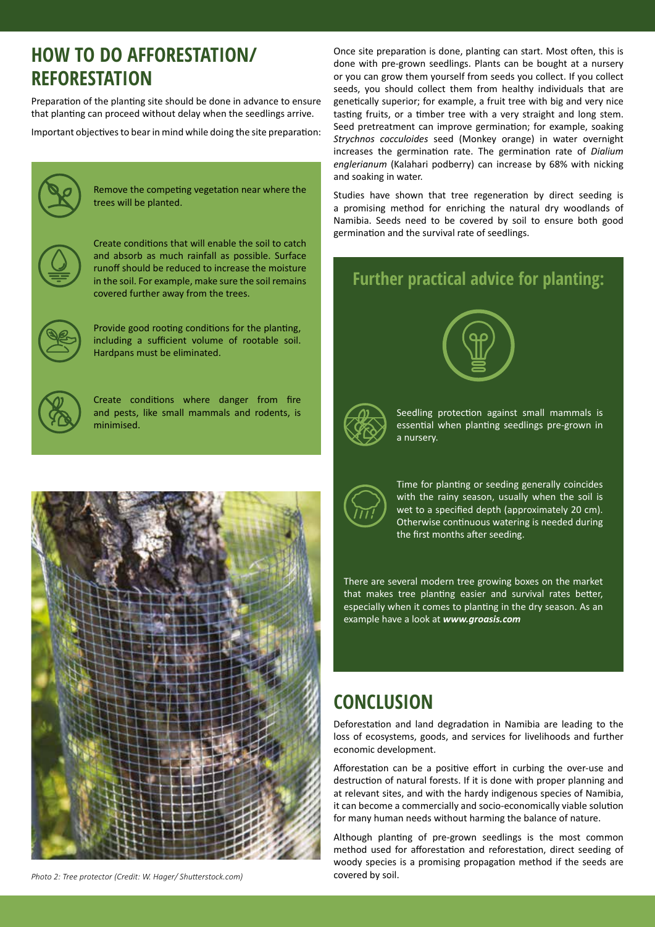# **HOW TO DO AFFORESTATION/ REFORESTATION**

Preparation of the planting site should be done in advance to ensure that planting can proceed without delay when the seedlings arrive.

Important objectives to bear in mind while doing the site preparation:



Remove the competing vegetation near where the trees will be planted.



Create conditions that will enable the soil to catch and absorb as much rainfall as possible. Surface runoff should be reduced to increase the moisture in the soil. For example, make sure the soil remains covered further away from the trees.



Provide good rooting conditions for the planting, including a sufficient volume of rootable soil. Hardpans must be eliminated.



Create conditions where danger from fire and pests, like small mammals and rodents, is minimised.



*Photo 2: Tree protector (Credit: W. Hager/ Shutterstock.com)*

Once site preparation is done, planting can start. Most often, this is done with pre-grown seedlings. Plants can be bought at a nursery or you can grow them yourself from seeds you collect. If you collect seeds, you should collect them from healthy individuals that are genetically superior; for example, a fruit tree with big and very nice tasting fruits, or a timber tree with a very straight and long stem. Seed pretreatment can improve germination; for example, soaking *Strychnos cocculoides* seed (Monkey orange) in water overnight increases the germination rate. The germination rate of *Dialium englerianum* (Kalahari podberry) can increase by 68% with nicking and soaking in water.

Studies have shown that tree regeneration by direct seeding is a promising method for enriching the natural dry woodlands of Namibia. Seeds need to be covered by soil to ensure both good germination and the survival rate of seedlings.

## **Further practical advice for planting:**





Seedling protection against small mammals is essential when planting seedlings pre-grown in a nursery.



Time for planting or seeding generally coincides with the rainy season, usually when the soil is wet to a specified depth (approximately 20 cm). Otherwise continuous watering is needed during the first months after seeding.

There are several modern tree growing boxes on the market that makes tree planting easier and survival rates better, especially when it comes to planting in the dry season. As an example have a look at *www.groasis.com*

# **CONCLUSION**

Deforestation and land degradation in Namibia are leading to the loss of ecosystems, goods, and services for livelihoods and further economic development.

Afforestation can be a positive effort in curbing the over-use and destruction of natural forests. If it is done with proper planning and at relevant sites, and with the hardy indigenous species of Namibia, it can become a commercially and socio-economically viable solution for many human needs without harming the balance of nature.

Although planting of pre-grown seedlings is the most common method used for afforestation and reforestation, direct seeding of woody species is a promising propagation method if the seeds are covered by soil.